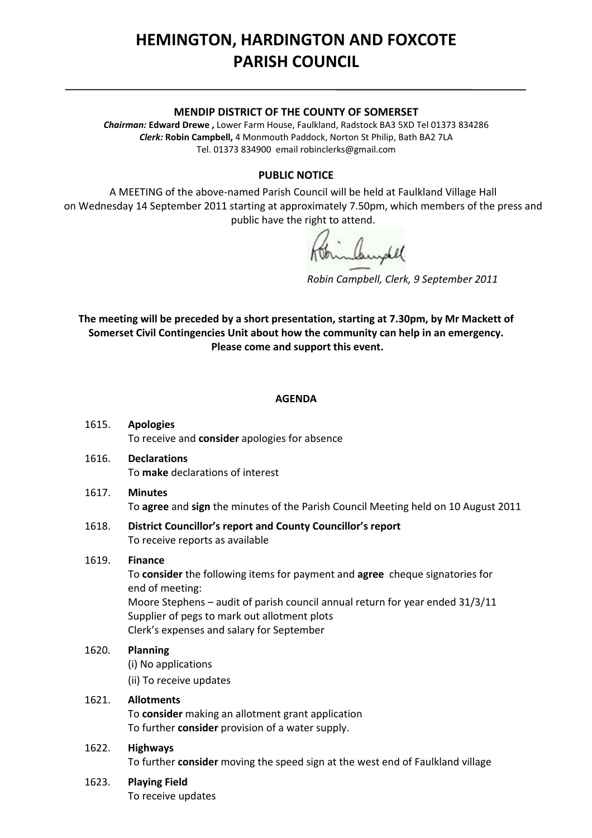# **HEMINGTON, HARDINGTON AND FOXCOTE PARISH COUNCIL**

#### **MENDIP DISTRICT OF THE COUNTY OF SOMERSET**

*Chairman:* **Edward Drewe ,** Lower Farm House, Faulkland, Radstock BA3 5XD Tel 01373 834286 *Clerk:* **Robin Campbell,** 4 Monmouth Paddock, Norton St Philip, Bath BA2 7LA Tel. 01373 834900 email [robinclerks@gmail.com](mailto:robinclerks@googlemail.com)

#### **PUBLIC NOTICE**

A MEETING of the above‐named Parish Council will be held at Faulkland Village Hall on Wednesday 14 September 2011 starting at approximately 7.50pm, which members of the press and public have the right to attend.

*Robin Campbell, Clerk, 9 September 2011*

**The meeting will be preceded by a short presentation, starting at 7.30pm, by Mr Mackett of Somerset Civil Contingencies Unit about how the community can help in an emergency. Please come and support this event.**

#### **AGENDA**

- 1615. **Apologies** To receive and **consider** apologies for absence
- 1616. **Declarations** To **make** declarations of interest
- 1617. **Minutes** To **agree** and **sign** the minutes of the Parish Council Meeting held on 10 August 2011
- 1618. **District Councillor's report and County Councillor's report** To receive reports as available

#### 1619. **Finance**

To **consider** the following items for payment and **agree** cheque signatories for end of meeting: Moore Stephens – audit of parish council annual return for year ended 31/3/11 Supplier of pegs to mark out allotment plots Clerk's expenses and salary for September

## 1620. **Planning** (i) No applications

(ii) To receive updates

## 1621. **Allotments**

To **consider** making an allotment grant application To further **consider** provision of a water supply.

#### 1622. **Highways**

To further **consider** moving the speed sign at the west end of Faulkland village

#### 1623. **Playing Field**

To receive updates